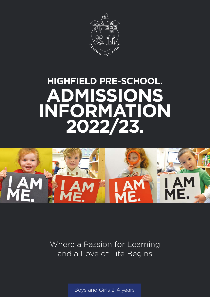

# **HIGHFIELD PRE-SCHOOL. ADMISSIONS INFORMATION 2022/23.**



Where a Passion for Learning and a Love of Life Begins

Boys and Girls 2-4 years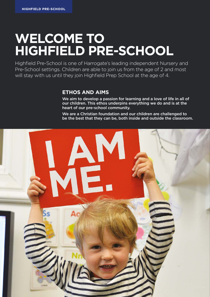# **WELCOME TO HIGHFIELD PRE-SCHOOL**

Highfield Pre-School is one of Harrogate's leading independent Nursery and Pre-School settings. Children are able to join us from the age of 2 and most will stay with us until they join Highfield Prep School at the age of 4.

#### **ETHOS AND AIMS**

We aim to develop a passion for learning and a love of life in all of our children. This ethos underpins everything we do and is at the heart of our pre-school community.

We are a Christian foundation and our children are challenged to be the best that they can be, both inside and outside the classroom.

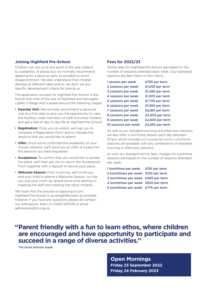#### **Joining Highfield Pre-School**

Children can join us at any point in the year subject to availability of places but we normally recommend applying for a place as early as possible to avoid disappointment. We also understand that children develop at different rates and so we don't set any specific development criteria for joining us.

The application process for Highfield Pre-School is less formal than that of the rest of Highfield and Harrogate Ladies' College and is based around the following stages:

- > Parental Visit: We normally recommend a personal visit as a first step to give you the opportunity to view the facilities; meet members of staff and other children and get a feel of day to day life at Highfield Pre-School.
- > Registration: Once you've visited, we'll ask you to complete a Registration Form and to indicate the sessions that you would like to attend.
- > Offer: Once we've confirmed the availability of your chosen sessions, we'll send you an offer of a place for the sessions you have requested.
- > Acceptance: To confirm that you would like to accept the place, we'll then ask you to return the Acceptance Form together with a deposit to secure your place.
- > Welcome Session: Prior to joining, we'll invite you and your child to attend a Welcome Session, so that you and your child can spend some time settling in; meeting the staff and meeting the other children.

We hope that the process of applying to join Highfield Pre-School is as straightforward as possible, however if you have any questions please do contact our Admissions Team on 01423 537045 or email admissions@hlc.org.uk.

#### **Fees for 2022/23**

Termly fees for Highfield Pre-School are based on the number of sessions attended each week. (Our standard sessions are 9am-12pm or 1pm-4pm).

| 1 session per week   | £755 per term   |
|----------------------|-----------------|
| 2 sessions per week  | £1,055 per term |
| 3 sessions per week  | £1,280 per term |
| 4 sessions per week  | £1,505 per term |
| 5 sessions per week  | £1,730 per term |
| 6 sessions per week  | £1,955 per term |
| 7 sessions per week  | £2,180 per term |
| 8 sessions per week  | £2,405 per term |
| 9 sessions per week  | £2,630 per term |
| 10 sessions per week | £2,855 per term |

As well as our standard morning and afternoon sessions we also offer a lunchtime session each day between 12-1pm which includes a 2 course hot lunch. Lunchtime sessions are available with any combination of standard morning or afternoon sessions.

As with our standard termly fees, charges for lunchtime sessions are based on the number of sessions attended per week:

1 lunchtime per week £155 per term 2 lunchtimes per week £310 per term 3 lunchtimes per week £465 per term 4 lunchtimes per week £620 per term 5 lunchtimes per week £775 per term

## **"Parent friendly with a fun to learn ethos, where children are encouraged and have opportunity to participate and succeed in a range of diverse activities."**

The Good Schools Guide

**Open Mornings Friday 23 September 2022 Friday 24 February 2023**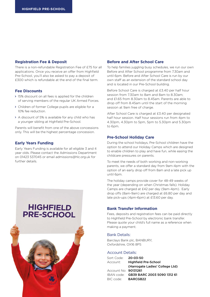#### **Registration Fee & Deposit**

There is a non-refundable Registration Fee of £75 for all applications. Once you receive an offer from Highfield Pre-School, you'll also be asked to pay a deposit of £300 which is refundable at the end of the final term.

#### **Fee Discounts**

- 15% discount on all fees is applied for the children of serving members of the regular UK Armed Forces.
- Children of former College pupils are eligible for a 10% fee reduction.
- A discount of 5% is available for any child who has a younger sibling at Highfield Pre-School.

Parents will benefit from one of the above concessions only. This will be the highest percentage concession.

#### **Early Years Funding**

Early Years Funding is available for all eligible 3 and 4 year olds. Please contact the Admissions Department on 01423 537045 or email admissions@hlc.org.uk for further details.

# **HIGHFIELD PRE-SCHOOL**

#### **Before and After School Care**

To help families juggling busy schedules, we run our own Before and After School programme from 7.30am and until 6pm. Before and After School Care is run by our own staff as an extension of the standard school day and is located in our Pre-School building.

Before School Care is charged at £3.40 per half hour session from 7.30am to 8am and 8am to 8.30am; and £1.65 from 8.30am to 8.45am. Parents are able to drop off from 8.45am until the start of the morning session at 9am free of charge.

After School Care is charged at £3.40 per designated half hour session. Half hour sessions run from 4pm to 4.30pm, 4.30pm to 5pm, 5pm to 5.30pm and 5.30pm to 6pm.

#### **Pre-School Holiday Care**

During the school holidays, Pre-School children have the option to attend our Holiday Camps which are designed to enable children to play and have fun, while easing the childcare pressures on parents.

To meet the needs of both working and non-working parents, we offer a standard day from 9am-4pm with the option of an early drop off from 8am and a late pick up until 6pm.

The holiday camps provide cover for 48-49 weeks of the year (depending on when Christmas falls). Holiday Camps are charged at £42 per day (9am-4pm). Early drop offs (8am-9am) are charged at £6.80 per day and late pick-ups (4pm-6pm) at £13.60 per day.

#### **Bank Transfer Information**

Fees, deposits and registration fees can be paid directly to Highfield Pre-School by electronic bank transfer. Please quote your child's full name as a reference when making a payment.

#### Bank Details:

Barclays Bank plc, BANBURY, Oxfordshire, OX16 8PS

#### Account Details:

| Sort Code:                | $20 - 03 - 50$                         |
|---------------------------|----------------------------------------|
| Account:                  | <b>Highfield Pre-School</b>            |
|                           | (Harrogate Ladies' College Ltd)        |
| Account No: 90131261      |                                        |
|                           | IBAN code: GB39 BARC 2003 5090 1312 61 |
| BIC code: <b>BARCGB22</b> |                                        |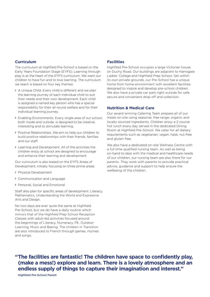#### **Curriculum**

The curriculum at Highfield Pre-School is based on the Early Years Foundation Stage (EYFS). Learning through play is at the heart of the EYFS curriculum. We want our children to have fun and to love learning. The curriculum we teach is based on four key themes:

- A Unique Child. Every child is different and we plan the learning journey of each individual child to suit their needs and their own development. Each child is assigned a named key person who has a special responsibility for their all-round welfare and for their individual learning journey.
- Enabling Environments. Every single area of our school, both inside and outside, is designed to be creative, interesting and to stimulate learning.
- Positive Relationships. We aim to help our children to build positive relationships with their friends, families and our staff.
- Learning and Development. All of the activities the children enjoy at school are designed to encourage and enhance their learning and development.

Our curriculum is also based on the EYFS Areas of Development, initially focusing on three prime areas:

- > Physical Development
- Communication and Language
- > Personal, Social and Emotional

Staff also plan for specific areas of development: Literacy, Mathematics, Understanding the World and Expressive Arts and Design.

No two days are ever quite the same at Highfield Pre-School, but we do have a daily routine which mirrors that of the Highfield Prep School Reception Classes with adult-led activities focused around the beginnings of Literacy, Numeracy, PE, Outdoor Learning, Music and Baking. The children in Transition are also introduced to French through games, rhymes and songs.

#### **Facilities**

Highfield Pre-School occupies a large Victorian house on Duchy Road. Our buildings are adjacent to Harrogate Ladies' College and Highfield Prep School. Set within its own private grounds, our Pre-School has a unique home from home environment with excellent facilities designed to inspire and develop pre-school children. We also have a private car park right outside for safe, secure and convenient drop off and collection.

#### **Nutrition & Medical Care**

Our award winning Catering Team prepare all of our meals on-site using seasonal, free range, organic and locally sourced ingredients. Children enjoy a 2 course hot lunch every day served in the dedicated Dining Room at Highfield Pre-School. We cater for all dietary requirements such as vegetarian, vegan, halal, nut-free and gluten free.

We also have a dedicated on-site Wellness Centre with a full time qualified nursing team. As well as being on-hand to deal with the medical and healthcare needs of our children, our nursing team are also there for our parents. They work with parents to provide practical advice, guidance and support to help ensure the wellbeing of the children.

**"The facilities are fantastic! The children have space to confidently play, (make a mess!) explore and learn. There is a lovely atmosphere and an endless supply of things to capture their imagination and interest."**

Highfield Pre-School Parent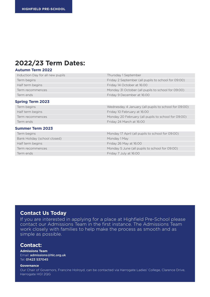## **2022/23 Term Dates:**

#### **Autumn Term 2022**

| Induction Day for all new pupils | Thursday 1 September                                 |
|----------------------------------|------------------------------------------------------|
| Term begins                      | Friday 2 September (all pupils to school for 09:00)  |
| Half term begins                 | Friday 14 October at 16:00                           |
| Term recommences                 | Monday 31 October (all pupils to school for 09:00)   |
| Term ends                        | Friday 9 December at 16:00                           |
| <b>Spring Term 2023</b>          |                                                      |
| Term begins                      | Wednesday 4 January (all pupils to school for 09:00) |
| Half term begins                 | Friday 10 February at 16:00                          |
| Term recommences                 | Monday 20 February (all pupils to school for 09:00)  |
| Term ends                        | Friday 24 March at 16:00                             |
| <b>Summer Term 2023</b>          |                                                      |
| Term begins                      | Monday 17 April (all pupils to school for 09:00)     |
| Bank Holiday (school closed)     | Monday 1 May                                         |
| Half term begins                 | Friday 26 May at 16:00                               |
| Term recommences                 | Monday 5 June (all pupils to school for 09:00)       |
| Term ends                        | Friday 7 July at 16:00                               |

#### **Contact Us Today**

If you are interested in applying for a place at Highfield Pre-School please contact our Admissions Team in the first instance. The Admissions Team work closely with families to help make the process as smooth and as simple as possible.

#### **Contact:**

**Admissions Team**  Email: admissions@hlc.org.uk Tel: 01423 537045

#### **Governance**

Our Chair of Governors, Francine Holroyd, can be contacted via Harrogate Ladies' College, Clarence Drive, Harrogate HG1 2QG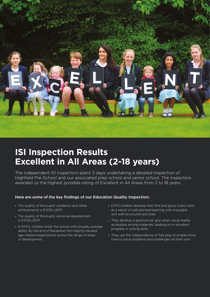

# **ISI Inspection Results Excellent in All Areas (2-18 years)**

The independent ISI inspectors spent 3 days undertaking a detailed inspection of Highfield Pre-School and our associated prep school and senior school. The inspectors awarded us the highest possible rating of Excellent in All Areas from 2 to 18 years.

#### Here are some of the key findings of our Education Quality Inspection:

- > The quality of the pupils' academic and other achievements is EXCELLENT.
- > The quality of the pupils' personal development is EXCELLENT.
- > In EYFS, children enter the school with broadly average ability. By the end of Reception the majority exceed age-related expectations across the range of areas of development.
- > EYFS children develop their fine and gross motor skills as a result of well-planned learning with enjoyable and well-structured activities.
- > They develop a good pincer grip when using readily accessible writing materials, leading on to excellent progress in writing skills.
- > They use the independence of free play to enable more time to solve problems and challenges on their own.